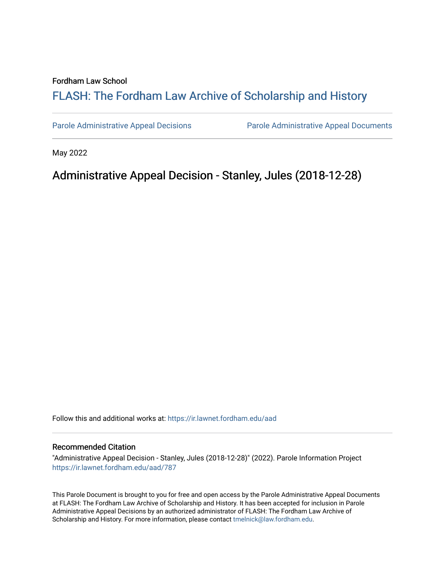#### Fordham Law School

# FLASH: The For[dham Law Archive of Scholarship and Hist](https://ir.lawnet.fordham.edu/)ory

[Parole Administrative Appeal Decisions](https://ir.lawnet.fordham.edu/aad) [Parole Administrative Appeal Documents](https://ir.lawnet.fordham.edu/ad_app_docs) 

May 2022

## Administrative Appeal Decision - Stanley, Jules (2018-12-28)

Follow this and additional works at: [https://ir.lawnet.fordham.edu/aad](https://ir.lawnet.fordham.edu/aad?utm_source=ir.lawnet.fordham.edu%2Faad%2F787&utm_medium=PDF&utm_campaign=PDFCoverPages) 

#### Recommended Citation

"Administrative Appeal Decision - Stanley, Jules (2018-12-28)" (2022). Parole Information Project [https://ir.lawnet.fordham.edu/aad/787](https://ir.lawnet.fordham.edu/aad/787?utm_source=ir.lawnet.fordham.edu%2Faad%2F787&utm_medium=PDF&utm_campaign=PDFCoverPages) 

This Parole Document is brought to you for free and open access by the Parole Administrative Appeal Documents at FLASH: The Fordham Law Archive of Scholarship and History. It has been accepted for inclusion in Parole Administrative Appeal Decisions by an authorized administrator of FLASH: The Fordham Law Archive of Scholarship and History. For more information, please contact [tmelnick@law.fordham.edu](mailto:tmelnick@law.fordham.edu).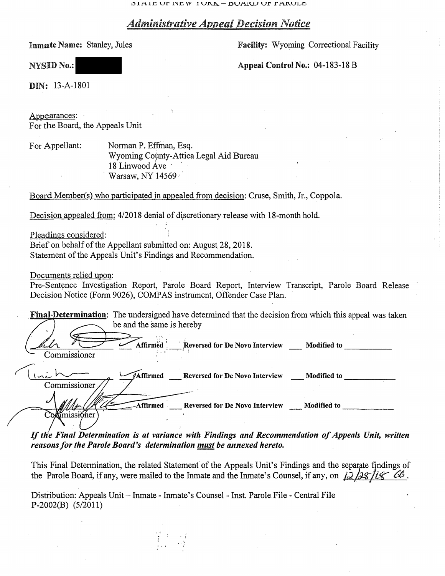$1$ DIAIL UP INEW IURA - BUAKU UP FARULE

### *Administrative Appeal Decision Notice*

Inmate Name: Stanley, Jules

Facility: Wyoming Correctional Facility

NYSID No.:

Appeal Control No.: 04-183-18 B

DIN: 13-A-1801

Appearances: For the Board, the Appeals Unit

For Appellant: Norman P. Effman, Esq. Wyoming County-Attica Legal Aid Bureau 18 Linwood Ave · · Warsaw, NY 14569

Board Member(s) who participated in appealed from decision: Cruse, Smith, Jr., Coppola.

Decision appealed from:  $4/2018$  denial of discretionary release with 18-month hold.

Pleadings considered:

Brief on behalf of the Appellant submitted on: August 28, 2018. Statement of the Appeals Unit's Findings and Recommendation.

Documents relied upon:

Pre-Sentence Investigation Report, Parole Board Report, Interview Transcript, Parole Board Release Decision Notice (Form 9026), COMP AS instrument, Offender Case Plan.

| <b>Final-Determination:</b> The undersigned have determined that the decision from which this appeal was take<br>be and the same is hereby |          |                                                        |             |
|--------------------------------------------------------------------------------------------------------------------------------------------|----------|--------------------------------------------------------|-------------|
| Commissioner                                                                                                                               |          | Affirmed Reversed for De Novo Interview __ Modified to |             |
| Commissioner                                                                                                                               |          | Affirmed Reversed for De Novo Interview                | Modified to |
| u<br>missioner                                                                                                                             | Affirmed | Reversed for De Novo Interview Modified to             |             |

*If th'e Final Determination is at variance with Findings and Recommendation of Appeals Unit, written reasons for the Parole Board's determination must be annexed hereto.* 

This Final Determination, the related Statement of the Appeals Unit's Findings and the separate findings of the Parole Board, if any, were mailed to the Inmate and the Inmate's Counsel, if any, on  $\sqrt{2}/2\frac{\sqrt{2}}{\sqrt{6}}$  6.

Distribution: Appeals Unit- Inmate - Inmate's Counsel - Inst. Parole File - Central File P-2002(B) (5/2011)

> 1 I I ;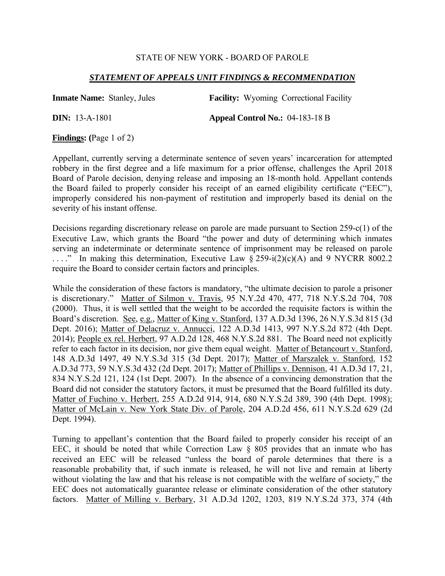### STATE OF NEW YORK - BOARD OF PAROLE

### *STATEMENT OF APPEALS UNIT FINDINGS & RECOMMENDATION*

**Inmate Name:** Stanley, Jules **Facility:** Wyoming Correctional Facility **DIN:** 13-A-1801 **Appeal Control No.:** 04-183-18 B

**Findings: (**Page 1 of 2)

Appellant, currently serving a determinate sentence of seven years' incarceration for attempted robbery in the first degree and a life maximum for a prior offense, challenges the April 2018 Board of Parole decision, denying release and imposing an 18-month hold. Appellant contends the Board failed to properly consider his receipt of an earned eligibility certificate ("EEC"), improperly considered his non-payment of restitution and improperly based its denial on the severity of his instant offense.

Decisions regarding discretionary release on parole are made pursuant to Section 259-c(1) of the Executive Law, which grants the Board "the power and duty of determining which inmates serving an indeterminate or determinate sentence of imprisonment may be released on parole ...." In making this determination, Executive Law  $\S 259-i(2)(c)(A)$  and 9 NYCRR 8002.2 require the Board to consider certain factors and principles.

While the consideration of these factors is mandatory, "the ultimate decision to parole a prisoner is discretionary." Matter of Silmon v. Travis, 95 N.Y.2d 470, 477, 718 N.Y.S.2d 704, 708 (2000). Thus, it is well settled that the weight to be accorded the requisite factors is within the Board's discretion. See, e.g., Matter of King v. Stanford, 137 A.D.3d 1396, 26 N.Y.S.3d 815 (3d Dept. 2016); Matter of Delacruz v. Annucci, 122 A.D.3d 1413, 997 N.Y.S.2d 872 (4th Dept. 2014); People ex rel. Herbert, 97 A.D.2d 128, 468 N.Y.S.2d 881. The Board need not explicitly refer to each factor in its decision, nor give them equal weight. Matter of Betancourt v. Stanford, 148 A.D.3d 1497, 49 N.Y.S.3d 315 (3d Dept. 2017); Matter of Marszalek v. Stanford, 152 A.D.3d 773, 59 N.Y.S.3d 432 (2d Dept. 2017); Matter of Phillips v. Dennison, 41 A.D.3d 17, 21, 834 N.Y.S.2d 121, 124 (1st Dept. 2007). In the absence of a convincing demonstration that the Board did not consider the statutory factors, it must be presumed that the Board fulfilled its duty. Matter of Fuchino v. Herbert, 255 A.D.2d 914, 914, 680 N.Y.S.2d 389, 390 (4th Dept. 1998); Matter of McLain v. New York State Div. of Parole, 204 A.D.2d 456, 611 N.Y.S.2d 629 (2d Dept. 1994).

Turning to appellant's contention that the Board failed to properly consider his receipt of an EEC, it should be noted that while Correction Law § 805 provides that an inmate who has received an EEC will be released "unless the board of parole determines that there is a reasonable probability that, if such inmate is released, he will not live and remain at liberty without violating the law and that his release is not compatible with the welfare of society," the EEC does not automatically guarantee release or eliminate consideration of the other statutory factors. Matter of Milling v. Berbary, 31 A.D.3d 1202, 1203, 819 N.Y.S.2d 373, 374 (4th